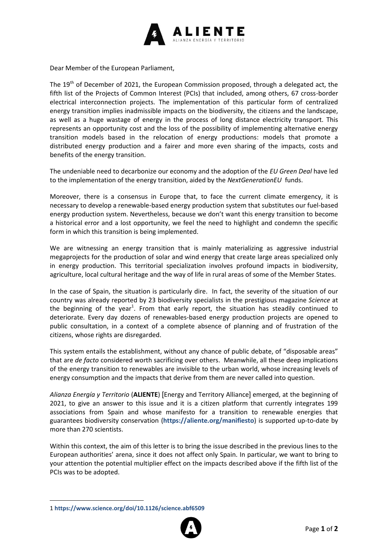

Dear Member of the European Parliament,

The 19<sup>th</sup> of December of 2021, the European Commission proposed, through a delegated act, the fifth list of the Projects of Common Interest (PCIs) that included, among others, 67 cross-border electrical interconnection projects. The implementation of this particular form of centralized energy transition implies inadmissible impacts on the biodiversity, the citizens and the landscape, as well as a huge wastage of energy in the process of long distance electricity transport. This represents an opportunity cost and the loss of the possibility of implementing alternative energy transition models based in the relocation of energy productions: models that promote a distributed energy production and a fairer and more even sharing of the impacts, costs and benefits of the energy transition.

The undeniable need to decarbonize our economy and the adoption of the *EU Green Deal* have led to the implementation of the energy transition, aided by the *NextGenerationEU* funds.

Moreover, there is a consensus in Europe that, to face the current climate emergency, it is necessary to develop a renewable-based energy production system that substitutes our fuel-based energy production system. Nevertheless, because we don't want this energy transition to become a historical error and a lost opportunity, we feel the need to highlight and condemn the specific form in which this transition is being implemented.

We are witnessing an energy transition that is mainly materializing as aggressive industrial megaprojects for the production of solar and wind energy that create large areas specialized only in energy production. This territorial specialization involves profound impacts in biodiversity, agriculture, local cultural heritage and the way of life in rural areas of some of the Member States.

In the case of Spain, the situation is particularly dire. In fact, the severity of the situation of our country was already reported by 23 biodiversity specialists in the prestigious magazine *Science* at the beginning of the year<sup>1</sup>. From that early report, the situation has steadily continued to deteriorate. Every day dozens of renewables-based energy production projects are opened to public consultation, in a context of a complete absence of planning and of frustration of the citizens, whose rights are disregarded.

This system entails the establishment, without any chance of public debate, of "disposable areas" that are *de facto* considered worth sacrificing over others. Meanwhile, all these deep implications of the energy transition to renewables are invisible to the urban world, whose increasing levels of energy consumption and the impacts that derive from them are never called into question.

*Alianza Energía y Territorio* (**ALIENTE**) [Energy and Territory Alliance] emerged, at the beginning of 2021, to give an answer to this issue and it is a citizen platform that currently integrates 199 associations from Spain and whose manifesto for a transition to renewable energies that guarantees biodiversity conservation (**<https://aliente.org/manifiesto>**) is supported up-to-date by more than 270 scientists.

Within this context, the aim of this letter is to bring the issue described in the previous lines to the European authorities' arena, since it does not affect only Spain. In particular, we want to bring to your attention the potential multiplier effect on the impacts described above if the fifth list of the PCIs was to be adopted.

 $\overline{\phantom{a}}$ 



<sup>1</sup> **https://www.science.org/doi/10.1126/science.abf6509**